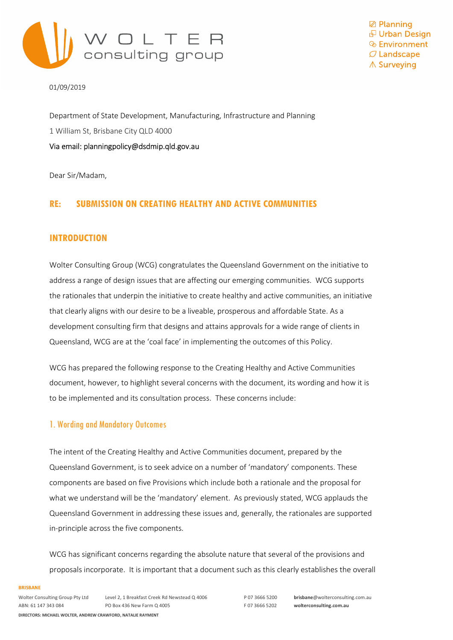

**⊠** Planning *D* Urban Design  $\mathcal O$  Landscape ∧ Surveying

01/09/2019

Department of State Development, Manufacturing, Infrastructure and Planning 1 William St, Brisbane City QLD 4000 Via email: planningpolicy@dsdmip.qld.gov.au

Dear Sir/Madam,

### RE: SUBMISSION ON CREATING HEALTHY AND ACTIVE COMMUNITIES

### INTRODUCTION

Wolter Consulting Group (WCG) congratulates the Queensland Government on the initiative to address a range of design issues that are affecting our emerging communities. WCG supports the rationales that underpin the initiative to create healthy and active communities, an initiative that clearly aligns with our desire to be a liveable, prosperous and affordable State. As a development consulting firm that designs and attains approvals for a wide range of clients in Queensland, WCG are at the 'coal face' in implementing the outcomes of this Policy.

WCG has prepared the following response to the Creating Healthy and Active Communities document, however, to highlight several concerns with the document, its wording and how it is to be implemented and its consultation process. These concerns include:

### 1. Wording and Mandatory Outcomes

The intent of the Creating Healthy and Active Communities document, prepared by the Queensland Government, is to seek advice on a number of 'mandatory' components. These components are based on five Provisions which include both a rationale and the proposal for what we understand will be the 'mandatory' element. As previously stated, WCG applauds the Queensland Government in addressing these issues and, generally, the rationales are supported in-principle across the five components.

WCG has significant concerns regarding the absolute nature that several of the provisions and proposals incorporate. It is important that a document such as this clearly establishes the overall

### **BRISBANE**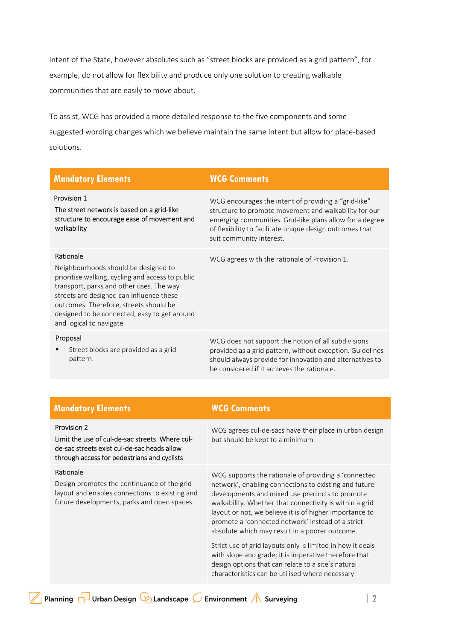intent of the State, however absolutes such as "street blocks are provided as a grid pattern", for example, do not allow for flexibility and produce only one solution to creating walkable communities that are easily to move about.

To assist, WCG has provided a more detailed response to the five components and some suggested wording changes which we believe maintain the same intent but allow for place-based solutions.

| <b>Mandatory Elements</b>                                                                                                                                                                                                                                                                                          | <b>WCG Comments</b>                                                                                                                                                                                                                                               |
|--------------------------------------------------------------------------------------------------------------------------------------------------------------------------------------------------------------------------------------------------------------------------------------------------------------------|-------------------------------------------------------------------------------------------------------------------------------------------------------------------------------------------------------------------------------------------------------------------|
| Provision 1<br>The street network is based on a grid-like<br>structure to encourage ease of movement and<br>walkability                                                                                                                                                                                            | WCG encourages the intent of providing a "grid-like"<br>structure to promote movement and walkability for our<br>emerging communities. Grid-like plans allow for a degree<br>of flexibility to facilitate unique design outcomes that<br>suit community interest. |
| Rationale<br>Neighbourhoods should be designed to<br>prioritise walking, cycling and access to public<br>transport, parks and other uses. The way<br>streets are designed can influence these<br>outcomes. Therefore, streets should be<br>designed to be connected, easy to get around<br>and logical to navigate | WCG agrees with the rationale of Provision 1.                                                                                                                                                                                                                     |
| Proposal<br>Street blocks are provided as a grid<br>٠<br>pattern.                                                                                                                                                                                                                                                  | WCG does not support the notion of all subdivisions<br>provided as a grid pattern, without exception. Guidelines<br>should always provide for innovation and alternatives to<br>be considered if it achieves the rationale.                                       |

### **Mandatory Elements** WCG Comments

### Provision 2

Limit the use of cul-de-sac streets. Where culde-sac streets exist cul-de-sac heads allow through access for pedestrians and cyclists

### Rationale

Design promotes the continuance of the grid layout and enables connections to existing and future developments, parks and open spaces.

WCG agrees cul-de-sacs have their place in urban design but should be kept to a minimum.

WCG supports the rationale of providing a 'connected network', enabling connections to existing and future developments and mixed use precincts to promote walkability. Whether that connectivity is within a grid layout or not, we believe it is of higher importance to promote a 'connected network' instead of a strict absolute which may result in a poorer outcome.

Strict use of grid layouts only is limited in how it deals with slope and grade; it is imperative therefore that design options that can relate to a site's natural characteristics can be utilised where necessary.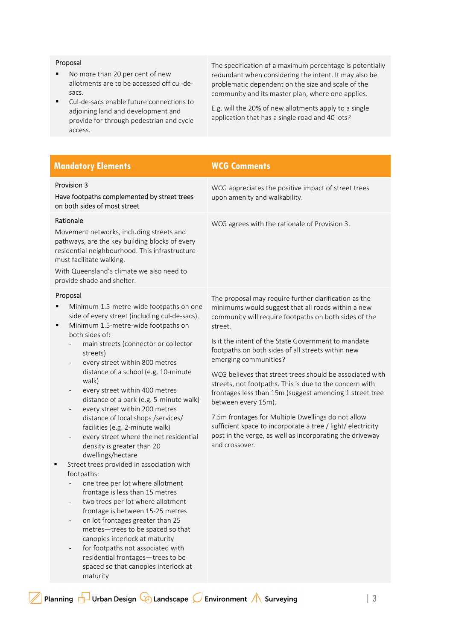### Proposal

- No more than 20 per cent of new allotments are to be accessed off cul-desacs.
- Cul-de-sacs enable future connections to adjoining land and development and provide for through pedestrian and cycle access.

The specification of a maximum percentage is potentially redundant when considering the intent. It may also be problematic dependent on the size and scale of the community and its master plan, where one applies.

E.g. will the 20% of new allotments apply to a single application that has a single road and 40 lots?

| <b>Mandatory Elements</b>                                                                                                                                                                                                                                                                                                                                                                                                                                                                                                                                                                                                                                                                                                                                                                                                                                                                                                                                                                                                                                                                                                                                 | <b>WCG Comments</b>                                                                                                                                                                                                                                                                                                                                                                                                                                                                                                                                                                                                                                                                                                              |
|-----------------------------------------------------------------------------------------------------------------------------------------------------------------------------------------------------------------------------------------------------------------------------------------------------------------------------------------------------------------------------------------------------------------------------------------------------------------------------------------------------------------------------------------------------------------------------------------------------------------------------------------------------------------------------------------------------------------------------------------------------------------------------------------------------------------------------------------------------------------------------------------------------------------------------------------------------------------------------------------------------------------------------------------------------------------------------------------------------------------------------------------------------------|----------------------------------------------------------------------------------------------------------------------------------------------------------------------------------------------------------------------------------------------------------------------------------------------------------------------------------------------------------------------------------------------------------------------------------------------------------------------------------------------------------------------------------------------------------------------------------------------------------------------------------------------------------------------------------------------------------------------------------|
| Provision 3<br>Have footpaths complemented by street trees<br>on both sides of most street                                                                                                                                                                                                                                                                                                                                                                                                                                                                                                                                                                                                                                                                                                                                                                                                                                                                                                                                                                                                                                                                | WCG appreciates the positive impact of street trees<br>upon amenity and walkability.                                                                                                                                                                                                                                                                                                                                                                                                                                                                                                                                                                                                                                             |
| Rationale<br>Movement networks, including streets and<br>pathways, are the key building blocks of every<br>residential neighbourhood. This infrastructure<br>must facilitate walking.<br>With Queensland's climate we also need to<br>provide shade and shelter.                                                                                                                                                                                                                                                                                                                                                                                                                                                                                                                                                                                                                                                                                                                                                                                                                                                                                          | WCG agrees with the rationale of Provision 3.                                                                                                                                                                                                                                                                                                                                                                                                                                                                                                                                                                                                                                                                                    |
| Proposal<br>Minimum 1.5-metre-wide footpaths on one<br>п<br>side of every street (including cul-de-sacs).<br>Minimum 1.5-metre-wide footpaths on<br>٠<br>both sides of:<br>main streets (connector or collector<br>streets)<br>every street within 800 metres<br>$\overline{\phantom{m}}$<br>distance of a school (e.g. 10-minute<br>walk)<br>every street within 400 metres<br>$\overline{\phantom{m}}$<br>distance of a park (e.g. 5-minute walk)<br>every street within 200 metres<br>$\overline{\phantom{m}}$<br>distance of local shops /services/<br>facilities (e.g. 2-minute walk)<br>every street where the net residential<br>$\qquad \qquad -$<br>density is greater than 20<br>dwellings/hectare<br>Street trees provided in association with<br>Ξ<br>footpaths:<br>one tree per lot where allotment<br>frontage is less than 15 metres<br>two trees per lot where allotment<br>frontage is between 15-25 metres<br>on lot frontages greater than 25<br>metres-trees to be spaced so that<br>canopies interlock at maturity<br>for footpaths not associated with<br>residential frontages-trees to be<br>spaced so that canopies interlock at | The proposal may require further clarification as the<br>minimums would suggest that all roads within a new<br>community will require footpaths on both sides of the<br>street.<br>Is it the intent of the State Government to mandate<br>footpaths on both sides of all streets within new<br>emerging communities?<br>WCG believes that street trees should be associated with<br>streets, not footpaths. This is due to the concern with<br>frontages less than 15m (suggest amending 1 street tree<br>between every 15m).<br>7.5m frontages for Multiple Dwellings do not allow<br>sufficient space to incorporate a tree / light/ electricity<br>post in the verge, as well as incorporating the driveway<br>and crossover. |

maturity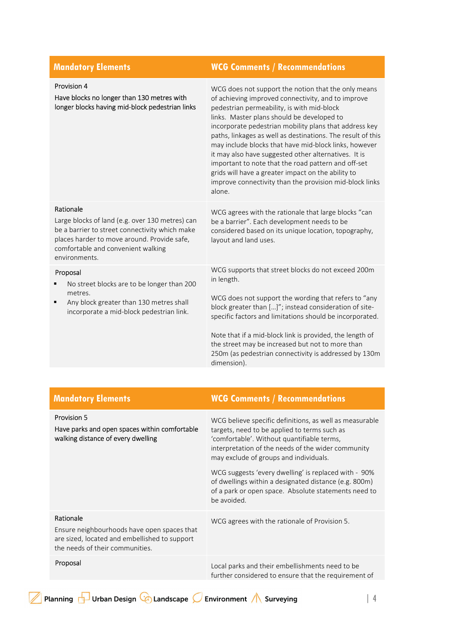| <b>WCG Comments / Recommendations</b>                                                                                                                                                                                                                                                                                                                                                                                                                                                                                                                                                                                             |
|-----------------------------------------------------------------------------------------------------------------------------------------------------------------------------------------------------------------------------------------------------------------------------------------------------------------------------------------------------------------------------------------------------------------------------------------------------------------------------------------------------------------------------------------------------------------------------------------------------------------------------------|
| WCG does not support the notion that the only means<br>of achieving improved connectivity, and to improve<br>pedestrian permeability, is with mid-block<br>links. Master plans should be developed to<br>incorporate pedestrian mobility plans that address key<br>paths, linkages as well as destinations. The result of this<br>may include blocks that have mid-block links, however<br>it may also have suggested other alternatives. It is<br>important to note that the road pattern and off-set<br>grids will have a greater impact on the ability to<br>improve connectivity than the provision mid-block links<br>alone. |
| WCG agrees with the rationale that large blocks "can<br>be a barrier". Each development needs to be<br>considered based on its unique location, topography,<br>layout and land uses.                                                                                                                                                                                                                                                                                                                                                                                                                                              |
| WCG supports that street blocks do not exceed 200m<br>in length.<br>WCG does not support the wording that refers to "any<br>block greater than []"; instead consideration of site-<br>specific factors and limitations should be incorporated.<br>Note that if a mid-block link is provided, the length of<br>the street may be increased but not to more than<br>250m (as pedestrian connectivity is addressed by 130m<br>dimension).                                                                                                                                                                                            |
|                                                                                                                                                                                                                                                                                                                                                                                                                                                                                                                                                                                                                                   |

| <b>Mandatory Elements</b>                                                                                                                    | <b>WCG Comments / Recommendations</b>                                                                                                                                                                                                                                                                                                                                                                                                         |
|----------------------------------------------------------------------------------------------------------------------------------------------|-----------------------------------------------------------------------------------------------------------------------------------------------------------------------------------------------------------------------------------------------------------------------------------------------------------------------------------------------------------------------------------------------------------------------------------------------|
| <b>Provision 5</b><br>Have parks and open spaces within comfortable<br>walking distance of every dwelling                                    | WCG believe specific definitions, as well as measurable<br>targets, need to be applied to terms such as<br>'comfortable'. Without quantifiable terms,<br>interpretation of the needs of the wider community<br>may exclude of groups and individuals.<br>WCG suggests 'every dwelling' is replaced with - 90%<br>of dwellings within a designated distance (e.g. 800m)<br>of a park or open space. Absolute statements need to<br>be avoided. |
| Rationale<br>Ensure neighbourhoods have open spaces that<br>are sized, located and embellished to support<br>the needs of their communities. | WCG agrees with the rationale of Provision 5.                                                                                                                                                                                                                                                                                                                                                                                                 |
| Proposal                                                                                                                                     | Local parks and their embellishments need to be<br>further considered to ensure that the requirement of                                                                                                                                                                                                                                                                                                                                       |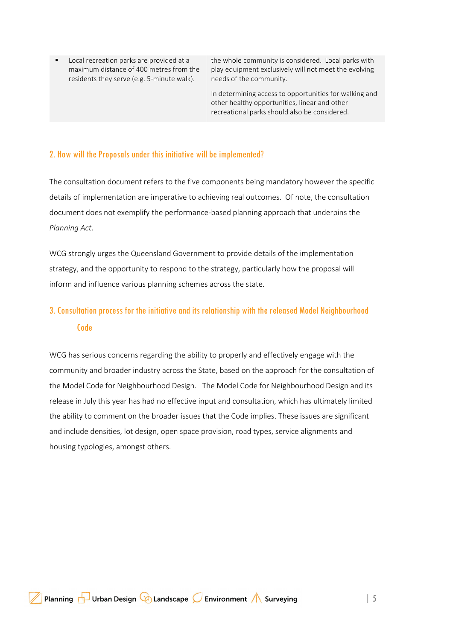Local recreation parks are provided at a maximum distance of 400 metres from the residents they serve (e.g. 5-minute walk).

the whole community is considered. Local parks with play equipment exclusively will not meet the evolving needs of the community.

In determining access to opportunities for walking and other healthy opportunities, linear and other recreational parks should also be considered.

### 2. How will the Proposals under this initiative will be implemented?

The consultation document refers to the five components being mandatory however the specific details of implementation are imperative to achieving real outcomes. Of note, the consultation document does not exemplify the performance-based planning approach that underpins the Planning Act.

WCG strongly urges the Queensland Government to provide details of the implementation strategy, and the opportunity to respond to the strategy, particularly how the proposal will inform and influence various planning schemes across the state.

# 3. Consultation process for the initiative and its relationship with the released Model Neighbourhood Code

WCG has serious concerns regarding the ability to properly and effectively engage with the community and broader industry across the State, based on the approach for the consultation of the Model Code for Neighbourhood Design. The Model Code for Neighbourhood Design and its release in July this year has had no effective input and consultation, which has ultimately limited the ability to comment on the broader issues that the Code implies. These issues are significant and include densities, lot design, open space provision, road types, service alignments and housing typologies, amongst others.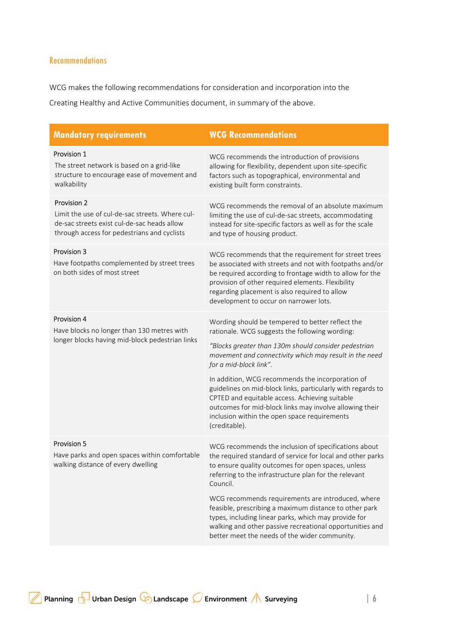## **Recommendations**

WCG makes the following recommendations for consideration and incorporation into the

Creating Healthy and Active Communities document, in summary of the above.

| <b>Mandatory requirements</b>                                                                                                                                | <b>WCG Recommendations</b>                                                                                                                                                                                                                                                                                                                                                                                                                                                                                                                      |
|--------------------------------------------------------------------------------------------------------------------------------------------------------------|-------------------------------------------------------------------------------------------------------------------------------------------------------------------------------------------------------------------------------------------------------------------------------------------------------------------------------------------------------------------------------------------------------------------------------------------------------------------------------------------------------------------------------------------------|
| Provision 1<br>The street network is based on a grid-like<br>structure to encourage ease of movement and<br>walkability                                      | WCG recommends the introduction of provisions<br>allowing for flexibility, dependent upon site-specific<br>factors such as topographical, environmental and<br>existing built form constraints.                                                                                                                                                                                                                                                                                                                                                 |
| Provision 2<br>Limit the use of cul-de-sac streets. Where cul-<br>de-sac streets exist cul-de-sac heads allow<br>through access for pedestrians and cyclists | WCG recommends the removal of an absolute maximum<br>limiting the use of cul-de-sac streets, accommodating<br>instead for site-specific factors as well as for the scale<br>and type of housing product.                                                                                                                                                                                                                                                                                                                                        |
| Provision 3<br>Have footpaths complemented by street trees<br>on both sides of most street                                                                   | WCG recommends that the requirement for street trees<br>be associated with streets and not with footpaths and/or<br>be required according to frontage width to allow for the<br>provision of other required elements. Flexibility<br>regarding placement is also required to allow<br>development to occur on narrower lots.                                                                                                                                                                                                                    |
| Provision 4<br>Have blocks no longer than 130 metres with<br>longer blocks having mid-block pedestrian links                                                 | Wording should be tempered to better reflect the<br>rationale. WCG suggests the following wording:<br>"Blocks greater than 130m should consider pedestrian<br>movement and connectivity which may result in the need<br>for a mid-block link".<br>In addition, WCG recommends the incorporation of<br>guidelines on mid-block links, particularly with regards to<br>CPTED and equitable access. Achieving suitable<br>outcomes for mid-block links may involve allowing their<br>inclusion within the open space requirements<br>(creditable). |
| Provision 5<br>Have parks and open spaces within comfortable<br>walking distance of every dwelling                                                           | WCG recommends the inclusion of specifications about<br>the required standard of service for local and other parks<br>to ensure quality outcomes for open spaces, unless<br>referring to the infrastructure plan for the relevant<br>Council.<br>WCG recommends requirements are introduced, where<br>feasible, prescribing a maximum distance to other park<br>types, including linear parks, which may provide for<br>walking and other passive recreational opportunities and<br>better meet the needs of the wider community.               |